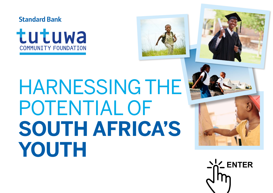







## HARNESSING THE POTENTIAL OF **SOUTH AFRICA'S YOUTH**



**AL** ENTER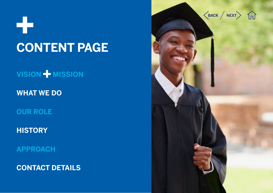52 **CONTENT PAGE**

**VISION MISSION** 

**WHAT WE DO**

**OUR ROLE**

**HISTORY**

**APPROACH**

**CONTACT DETAILS**

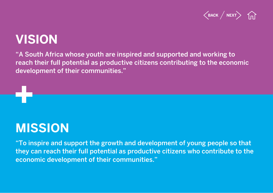

#### **VISION**

"A South Africa whose youth are inspired and supported and working to reach their full potential as productive citizens contributing to the economic development of their communities."

#### **MISSION**

"To inspire and support the growth and development of young people so that they can reach their full potential as productive citizens who contribute to the economic development of their communities."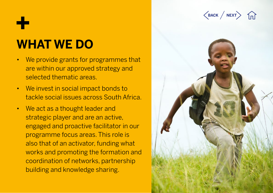#### **WHAT WE DO**

- • We provide grants for programmes that are within our approved strategy and selected thematic areas.
- • We invest in social impact bonds to tackle social issues across South Africa.
- We act as a thought leader and strategic player and are an active, engaged and proactive facilitator in our programme focus areas. This role is also that of an activator, funding what works and promoting the formation and coordination of networks, partnership building and knowledge sharing.



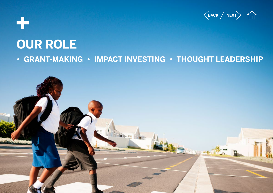

### **OUR ROLE • GRANT-MAKING • IMPACT INVESTING • THOUGHT LEADERSHIP**

٣ř

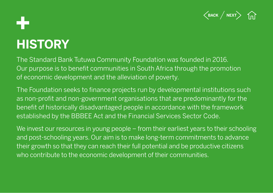

### **HISTORY**

The Standard Bank Tutuwa Community Foundation was founded in 2016. Our purpose is to benefit communities in South Africa through the promotion of economic development and the alleviation of poverty.

The Foundation seeks to finance projects run by developmental institutions such as non-profit and non-government organisations that are predominantly for the benefit of historically disadvantaged people in accordance with the framework established by the BBBEE Act and the Financial Services Sector Code.

We invest our resources in young people – from their earliest years to their schooling and post-schooling years. Our aim is to make long-term commitments to advance their growth so that they can reach their full potential and be productive citizens who contribute to the economic development of their communities.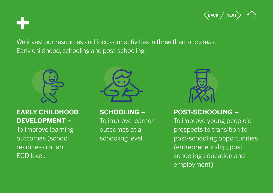

We invest our resources and focus our activities in three thematic areas: Early childhood, schooling and post-schooling:



#### **EARLY CHILDHOOD DEVELOPMENT –**

To improve learning outcomes (school readiness) at an ECD level.



**SCHOOLING –** 

To improve learner outcomes at a schooling level.



#### **POST-SCHOOLING –**

To improve young people's prospects to transition to post-schooling opportunities (entrepreneurship, post schooling education and employment).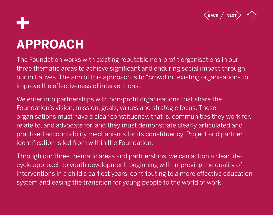

# **APPROACH**

The Foundation works with existing reputable non-profit organisations in our three thematic areas to achieve significant and enduring social impact through our initiatives. The aim of this approach is to "crowd in" existing organisations to improve the effectiveness of interventions.

We enter into partnerships with non-profit organisations that share the Foundation's vision, mission, goals, values and strategic focus. These organisations must have a clear constituency, that is, communities they work for, relate to, and advocate for, and they must demonstrate clearly articulated and practised accountability mechanisms for its constituency. Project and partner identification is led from within the Foundation.

Through our three thematic areas and partnerships, we can action a clear lifecycle approach to youth development, beginning with improving the quality of interventions in a child's earliest years, contributing to a more effective education system and easing the transition for young people to the world of work.